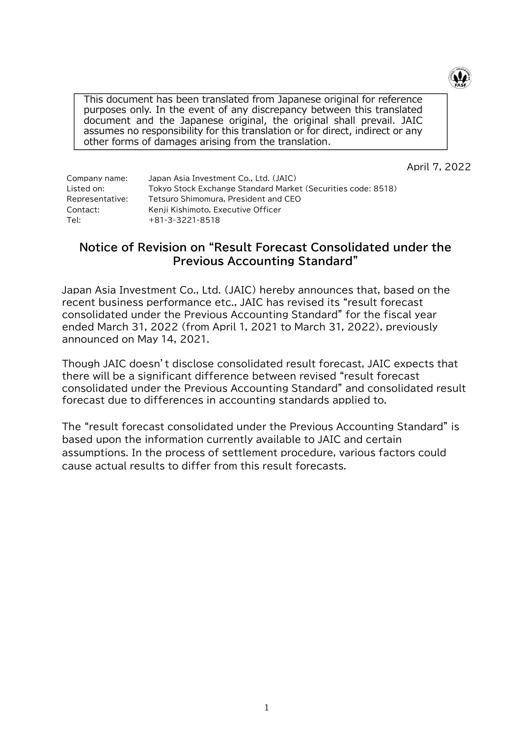

This document has been translated from Japanese original for reference purposes only. In the event of any discrepancy between this translated document and the Japanese original, the original shall prevail. JAIC assumes no responsibility for this translation or for direct, indirect or any other forms of damages arising from the translation.

April 7, 2022

| Company name:   | Japan Asia Investment Co., Ltd. (JAIC)                       |
|-----------------|--------------------------------------------------------------|
| Listed on:      | Tokyo Stock Exchange Standard Market (Securities code: 8518) |
| Representative: | Tetsuro Shimomura, President and CEO                         |
| Contact:        | Kenji Kishimoto, Executive Officer                           |
| Tel: l          | $+81-3-3221-8518$                                            |
|                 |                                                              |

# **Notice of Revision on "Result Forecast Consolidated under the Previous Accounting Standard"**

Japan Asia Investment Co., Ltd. (JAIC) hereby announces that, based on the recent business performance etc., JAIC has revised its "result forecast consolidated under the Previous Accounting Standard" for the fiscal year ended March 31, 2022 (from April 1, 2021 to March 31, 2022), previously announced on May 14, 2021.

Though JAIC doesn't disclose consolidated result forecast, JAIC expects that there will be a significant difference between revised "result forecast consolidated under the Previous Accounting Standard" and consolidated result forecast due to differences in accounting standards applied to.

The "result forecast consolidated under the Previous Accounting Standard" is based upon the information currently available to JAIC and certain assumptions. In the process of settlement procedure, various factors could cause actual results to differ from this result forecasts.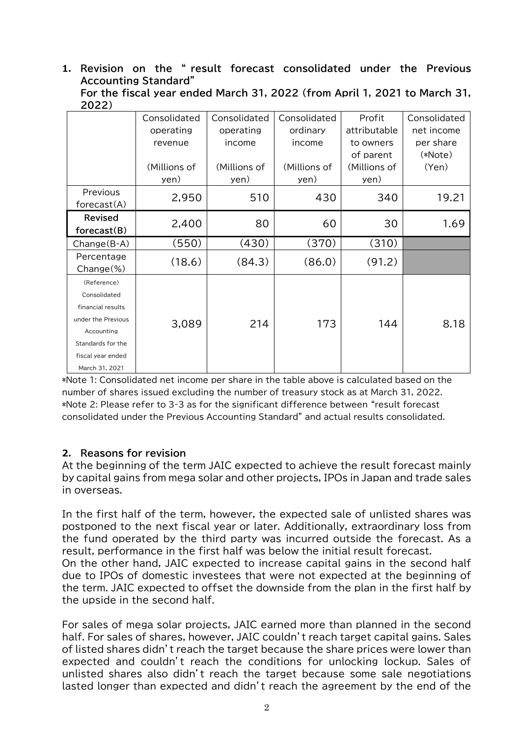### **1. Revision on the " result forecast consolidated under the Previous Accounting Standard"**

| For the fiscal year ended March 31, 2022 (from April 1, 2021 to March 31, |  |  |  |
|---------------------------------------------------------------------------|--|--|--|
| 2022)                                                                     |  |  |  |

|                                                                                                                                                  | Consolidated<br>operating<br>revenue<br>(Millions of<br>yen) | Consolidated<br>operating<br>income<br>(Millions of<br>yen) | Consolidated<br>ordinary<br>income<br>(Millions of<br>yen) | Profit<br>attributable<br>to owners<br>of parent<br>(Millions of<br>yen) | Consolidated<br>net income<br>per share<br>(*Note)<br>(Yen) |
|--------------------------------------------------------------------------------------------------------------------------------------------------|--------------------------------------------------------------|-------------------------------------------------------------|------------------------------------------------------------|--------------------------------------------------------------------------|-------------------------------------------------------------|
| Previous<br>forceast(A)                                                                                                                          | 2,950                                                        | 510                                                         | 430                                                        | 340                                                                      | 19.21                                                       |
| <b>Revised</b><br>forceast(B)                                                                                                                    | 2,400                                                        | 80                                                          | 60                                                         | 30                                                                       | 1.69                                                        |
| $Change(B-A)$                                                                                                                                    | (550)                                                        | (430)                                                       | (370)                                                      | (310)                                                                    |                                                             |
| Percentage<br>$Change(\%)$                                                                                                                       | (18.6)                                                       | (84.3)                                                      | (86.0)                                                     | (91.2)                                                                   |                                                             |
| (Reference)<br>Consolidated<br>financial results<br>under the Previous<br>Accounting<br>Standards for the<br>fiscal year ended<br>March 31, 2021 | 3,089                                                        | 214                                                         | 173                                                        | 144                                                                      | 8.18                                                        |

\*Note 1: Consolidated net income per share in the table above is calculated based on the number of shares issued excluding the number of treasury stock as at March 31, 2022. \*Note 2: Please refer to 3-3 as for the significant difference between "result forecast consolidated under the Previous Accounting Standard" and actual results consolidated.

#### **2. Reasons for revision**

At the beginning of the term JAIC expected to achieve the result forecast mainly by capital gains from mega solar and other projects, IPOs in Japan and trade sales in overseas.

In the first half of the term, however, the expected sale of unlisted shares was postponed to the next fiscal year or later. Additionally, extraordinary loss from the fund operated by the third party was incurred outside the forecast. As a result, performance in the first half was below the initial result forecast. On the other hand, JAIC expected to increase capital gains in the second half due to IPOs of domestic investees that were not expected at the beginning of the term. JAIC expected to offset the downside from the plan in the first half by the upside in the second half.

For sales of mega solar projects, JAIC earned more than planned in the second half. For sales of shares, however, JAIC couldn't reach target capital gains. Sales of listed shares didn't reach the target because the share prices were lower than expected and couldn't reach the conditions for unlocking lockup. Sales of unlisted shares also didn't reach the target because some sale negotiations lasted longer than expected and didn't reach the agreement by the end of the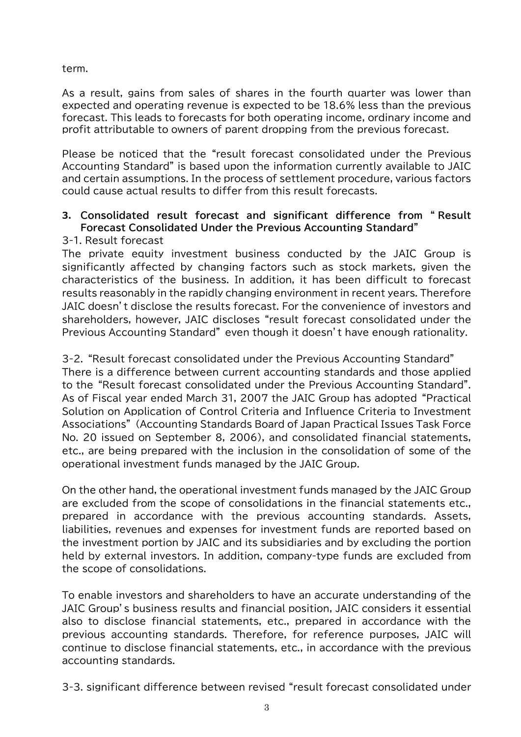term.

As a result, gains from sales of shares in the fourth quarter was lower than expected and operating revenue is expected to be 18.6% less than the previous forecast. This leads to forecasts for both operating income, ordinary income and profit attributable to owners of parent dropping from the previous forecast.

Please be noticed that the "result forecast consolidated under the Previous Accounting Standard" is based upon the information currently available to JAIC and certain assumptions. In the process of settlement procedure, various factors could cause actual results to differ from this result forecasts.

## **3. Consolidated result forecast and significant difference from " Result Forecast Consolidated Under the Previous Accounting Standard"**

## 3-1. Result forecast

The private equity investment business conducted by the JAIC Group is significantly affected by changing factors such as stock markets, given the characteristics of the business. In addition, it has been difficult to forecast results reasonably in the rapidly changing environment in recent years. Therefore JAIC doesn't disclose the results forecast. For the convenience of investors and shareholders, however, JAIC discloses "result forecast consolidated under the Previous Accounting Standard" even though it doesn't have enough rationality.

3-2. "Result forecast consolidated under the Previous Accounting Standard" There is a difference between current accounting standards and those applied to the "Result forecast consolidated under the Previous Accounting Standard". As of Fiscal year ended March 31, 2007 the JAIC Group has adopted "Practical Solution on Application of Control Criteria and Influence Criteria to Investment Associations" (Accounting Standards Board of Japan Practical Issues Task Force No. 20 issued on September 8, 2006), and consolidated financial statements, etc., are being prepared with the inclusion in the consolidation of some of the operational investment funds managed by the JAIC Group.

On the other hand, the operational investment funds managed by the JAIC Group are excluded from the scope of consolidations in the financial statements etc., prepared in accordance with the previous accounting standards. Assets, liabilities, revenues and expenses for investment funds are reported based on the investment portion by JAIC and its subsidiaries and by excluding the portion held by external investors. In addition, company-type funds are excluded from the scope of consolidations.

To enable investors and shareholders to have an accurate understanding of the JAIC Group's business results and financial position, JAIC considers it essential also to disclose financial statements, etc., prepared in accordance with the previous accounting standards. Therefore, for reference purposes, JAIC will continue to disclose financial statements, etc., in accordance with the previous accounting standards.

3-3. significant difference between revised "result forecast consolidated under